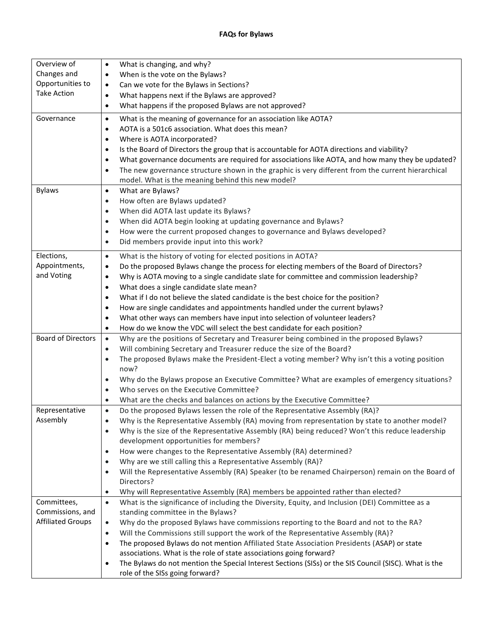| Overview of<br>Changes and<br>Opportunities to<br><b>Take Action</b> | What is changing, and why?<br>$\bullet$<br>When is the vote on the Bylaws?<br>$\bullet$<br>Can we vote for the Bylaws in Sections?<br>$\bullet$<br>What happens next if the Bylaws are approved?<br>$\bullet$<br>What happens if the proposed Bylaws are not approved?<br>$\bullet$                                                                                                                                                                                                                                                                                                                                                                                                                                                               |
|----------------------------------------------------------------------|---------------------------------------------------------------------------------------------------------------------------------------------------------------------------------------------------------------------------------------------------------------------------------------------------------------------------------------------------------------------------------------------------------------------------------------------------------------------------------------------------------------------------------------------------------------------------------------------------------------------------------------------------------------------------------------------------------------------------------------------------|
| Governance                                                           | What is the meaning of governance for an association like AOTA?<br>$\bullet$<br>AOTA is a 501c6 association. What does this mean?<br>$\bullet$<br>Where is AOTA incorporated?<br>$\bullet$<br>Is the Board of Directors the group that is accountable for AOTA directions and viability?<br>$\bullet$<br>What governance documents are required for associations like AOTA, and how many they be updated?<br>$\bullet$<br>The new governance structure shown in the graphic is very different from the current hierarchical<br>$\bullet$<br>model. What is the meaning behind this new model?                                                                                                                                                     |
| <b>Bylaws</b>                                                        | What are Bylaws?<br>$\bullet$<br>How often are Bylaws updated?<br>$\bullet$<br>When did AOTA last update its Bylaws?<br>$\bullet$<br>When did AOTA begin looking at updating governance and Bylaws?<br>$\bullet$<br>How were the current proposed changes to governance and Bylaws developed?<br>$\bullet$<br>Did members provide input into this work?<br>$\bullet$                                                                                                                                                                                                                                                                                                                                                                              |
| Elections,<br>Appointments,<br>and Voting                            | What is the history of voting for elected positions in AOTA?<br>$\bullet$<br>Do the proposed Bylaws change the process for electing members of the Board of Directors?<br>$\bullet$<br>Why is AOTA moving to a single candidate slate for committee and commission leadership?<br>$\bullet$<br>What does a single candidate slate mean?<br>$\bullet$<br>What if I do not believe the slated candidate is the best choice for the position?<br>$\bullet$<br>How are single candidates and appointments handled under the current bylaws?<br>$\bullet$<br>What other ways can members have input into selection of volunteer leaders?<br>$\bullet$<br>How do we know the VDC will select the best candidate for each position?<br>$\bullet$         |
| <b>Board of Directors</b>                                            | Why are the positions of Secretary and Treasurer being combined in the proposed Bylaws?<br>$\bullet$<br>Will combining Secretary and Treasurer reduce the size of the Board?<br>$\bullet$<br>The proposed Bylaws make the President-Elect a voting member? Why isn't this a voting position<br>$\bullet$<br>now?<br>Why do the Bylaws propose an Executive Committee? What are examples of emergency situations?<br>$\bullet$<br>Who serves on the Executive Committee?<br>$\bullet$<br>What are the checks and balances on actions by the Executive Committee?<br>$\bullet$                                                                                                                                                                      |
| Representative<br>Assembly                                           | Do the proposed Bylaws lessen the role of the Representative Assembly (RA)?<br>$\bullet$<br>Why is the Representative Assembly (RA) moving from representation by state to another model?<br>Why is the size of the Representative Assembly (RA) being reduced? Won't this reduce leadership<br>$\bullet$<br>development opportunities for members?<br>How were changes to the Representative Assembly (RA) determined?<br>$\bullet$<br>Why are we still calling this a Representative Assembly (RA)?<br>$\bullet$<br>Will the Representative Assembly (RA) Speaker (to be renamed Chairperson) remain on the Board of<br>$\bullet$<br>Directors?<br>Why will Representative Assembly (RA) members be appointed rather than elected?<br>$\bullet$ |
| Committees,<br>Commissions, and<br><b>Affiliated Groups</b>          | What is the significance of including the Diversity, Equity, and Inclusion (DEI) Committee as a<br>$\bullet$<br>standing committee in the Bylaws?<br>Why do the proposed Bylaws have commissions reporting to the Board and not to the RA?<br>$\bullet$<br>Will the Commissions still support the work of the Representative Assembly (RA)?<br>$\bullet$<br>The proposed Bylaws do not mention Affiliated State Association Presidents (ASAP) or state<br>$\bullet$<br>associations. What is the role of state associations going forward?<br>The Bylaws do not mention the Special Interest Sections (SISs) or the SIS Council (SISC). What is the<br>$\bullet$<br>role of the SISs going forward?                                               |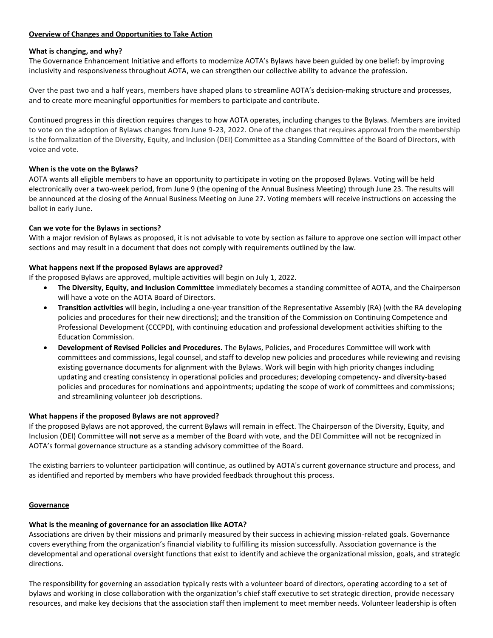### **Overview of Changes and Opportunities to Take Action**

### **What is changing, and why?**

The Governance Enhancement Initiative and efforts to modernize AOTA's Bylaws have been guided by one belief: by improving inclusivity and responsiveness throughout AOTA, we can strengthen our collective ability to advance the profession.

Over the past two and a half years, members have shaped plans to streamline AOTA's decision-making structure and processes, and to create more meaningful opportunities for members to participate and contribute.

Continued progress in this direction requires changes to how AOTA operates, including changes to the Bylaws. Members are invited to vote on the adoption of Bylaws changes from June 9-23, 2022. One of the changes that requires approval from the membership is the formalization of the Diversity, Equity, and Inclusion (DEI) Committee as a Standing Committee of the Board of Directors, with voice and vote.

### **When is the vote on the Bylaws?**

AOTA wants all eligible members to have an opportunity to participate in voting on the proposed Bylaws. Voting will be held electronically over a two-week period, from June 9 (the opening of the Annual Business Meeting) through June 23. The results will be announced at the closing of the Annual Business Meeting on June 27. Voting members will receive instructions on accessing the ballot in early June.

#### **Can we vote for the Bylaws in sections?**

With a major revision of Bylaws as proposed, it is not advisable to vote by section as failure to approve one section will impact other sections and may result in a document that does not comply with requirements outlined by the law.

### **What happens next if the proposed Bylaws are approved?**

If the proposed Bylaws are approved, multiple activities will begin on July 1, 2022.

- **The Diversity, Equity, and Inclusion Committee** immediately becomes a standing committee of AOTA, and the Chairperson will have a vote on the AOTA Board of Directors.
- **Transition activities** will begin, including a one-year transition of the Representative Assembly (RA) (with the RA developing policies and procedures for their new directions); and the transition of the Commission on Continuing Competence and Professional Development (CCCPD), with continuing education and professional development activities shifting to the Education Commission.
- **Development of Revised Policies and Procedures.** The Bylaws, Policies, and Procedures Committee will work with committees and commissions, legal counsel, and staff to develop new policies and procedures while reviewing and revising existing governance documents for alignment with the Bylaws. Work will begin with high priority changes including updating and creating consistency in operational policies and procedures; developing competency- and diversity-based policies and procedures for nominations and appointments; updating the scope of work of committees and commissions; and streamlining volunteer job descriptions.

### **What happens if the proposed Bylaws are not approved?**

If the proposed Bylaws are not approved, the current Bylaws will remain in effect. The Chairperson of the Diversity, Equity, and Inclusion (DEI) Committee will **not** serve as a member of the Board with vote, and the DEI Committee will not be recognized in AOTA's formal governance structure as a standing advisory committee of the Board.

The existing barriers to volunteer participation will continue, as outlined by AOTA's current governance structure and process, and as identified and reported by members who have provided feedback throughout this process.

#### **Governance**

### **What is the meaning of governance for an association like AOTA?**

Associations are driven by their missions and primarily measured by their success in achieving mission-related goals. Governance covers everything from the organization's financial viability to fulfilling its mission successfully. Association governance is the developmental and operational oversight functions that exist to identify and achieve the organizational mission, goals, and strategic directions.

The responsibility for governing an association typically rests with a volunteer board of directors, operating according to a set of bylaws and working in close collaboration with the organization's chief staff executive to set strategic direction, provide necessary resources, and make key decisions that the association staff then implement to meet member needs. Volunteer leadership is often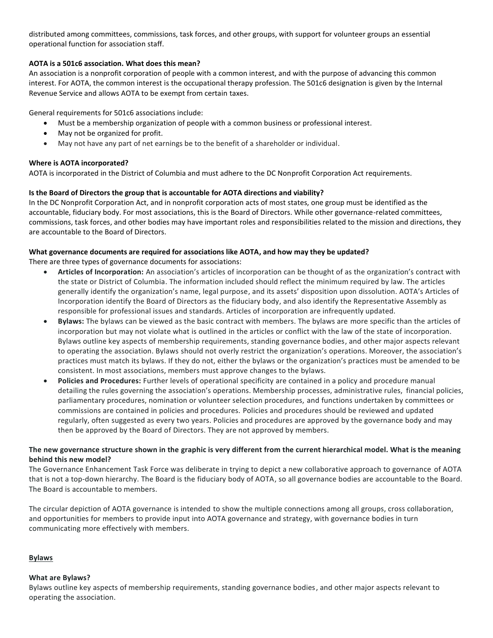distributed among committees, commissions, task forces, and other groups, with support for volunteer groups an essential operational function for association staff.

## **AOTA is a 501c6 association. What does this mean?**

An association is a nonprofit corporation of people with a common interest, and with the purpose of advancing this common interest. For AOTA, the common interest is the occupational therapy profession. The 501c6 designation is given by the Internal Revenue Service and allows AOTA to be exempt from certain taxes.

General requirements for 501c6 associations include:

- Must be a membership organization of people with a common business or professional interest.
- May not be organized for profit.
- May not have any part of net earnings be to the benefit of a shareholder or individual.

## **Where is AOTA incorporated?**

AOTA is incorporated in the District of Columbia and must adhere to the DC Nonprofit Corporation Act requirements.

## **Is the Board of Directors the group that is accountable for AOTA directions and viability?**

In the DC Nonprofit Corporation Act, and in nonprofit corporation acts of most states, one group must be identified as the accountable, fiduciary body. For most associations, this is the Board of Directors. While other governance-related committees, commissions, task forces, and other bodies may have important roles and responsibilities related to the mission and directions, they are accountable to the Board of Directors.

## **What governance documents are required for associations like AOTA, and how may they be updated?**

There are three types of governance documents for associations:

- **Articles of Incorporation:** An association's articles of incorporation can be thought of as the organization's contract with the state or District of Columbia. The information included should reflect the minimum required by law. The articles generally identify the organization's name, legal purpose, and its assets' disposition upon dissolution. AOTA's Articles of Incorporation identify the Board of Directors as the fiduciary body, and also identify the Representative Assembly as responsible for professional issues and standards. Articles of incorporation are infrequently updated.
- **Bylaws:** The bylaws can be viewed as the basic contract with members. The bylaws are more specific than the articles of incorporation but may not violate what is outlined in the articles or conflict with the law of the state of incorporation. Bylaws outline key aspects of membership requirements, standing governance bodies, and other major aspects relevant to operating the association. Bylaws should not overly restrict the organization's operations. Moreover, the association's practices must match its bylaws. If they do not, either the bylaws or the organization's practices must be amended to be consistent. In most associations, members must approve changes to the bylaws.
- **Policies and Procedures:** Further levels of operational specificity are contained in a policy and procedure manual detailing the rules governing the association's operations. Membership processes, administrative rules, financial policies, parliamentary procedures, nomination or volunteer selection procedures, and functions undertaken by committees or commissions are contained in policies and procedures. Policies and procedures should be reviewed and updated regularly, often suggested as every two years. Policies and procedures are approved by the governance body and may then be approved by the Board of Directors. They are not approved by members.

## **The new governance structure shown in the graphic is very different from the current hierarchical model. What is the meaning behind this new model?**

The Governance Enhancement Task Force was deliberate in trying to depict a new collaborative approach to governance of AOTA that is not a top-down hierarchy. The Board is the fiduciary body of AOTA, so all governance bodies are accountable to the Board. The Board is accountable to members.

The circular depiction of AOTA governance is intended to show the multiple connections among all groups, cross collaboration, and opportunities for members to provide input into AOTA governance and strategy, with governance bodies in turn communicating more effectively with members.

### **Bylaws**

### **What are Bylaws?**

Bylaws outline key aspects of membership requirements, standing governance bodies, and other major aspects relevant to operating the association.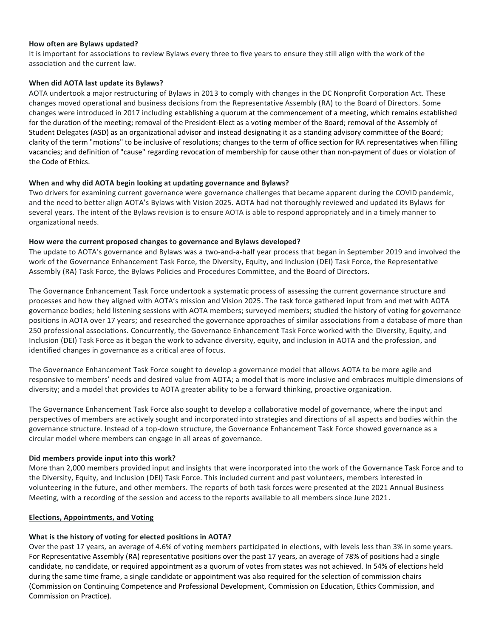### **How often are Bylaws updated?**

It is important for associations to review Bylaws every three to five years to ensure they still align with the work of the association and the current law.

#### **When did AOTA last update its Bylaws?**

AOTA undertook a major restructuring of Bylaws in 2013 to comply with changes in the DC Nonprofit Corporation Act. These changes moved operational and business decisions from the Representative Assembly (RA) to the Board of Directors. Some changes were introduced in 2017 including establishing a quorum at the commencement of a meeting, which remains established for the duration of the meeting; removal of the President-Elect as a voting member of the Board; removal of the Assembly of Student Delegates (ASD) as an organizational advisor and instead designating it as a standing advisory committee of the Board; clarity of the term "motions" to be inclusive of resolutions; changes to the term of office section for RA representatives when filling vacancies; and definition of "cause" regarding revocation of membership for cause other than non-payment of dues or violation of the Code of Ethics.

#### **When and why did AOTA begin looking at updating governance and Bylaws?**

Two drivers for examining current governance were governance challenges that became apparent during the COVID pandemic, and the need to better align AOTA's Bylaws with Vision 2025. AOTA had not thoroughly reviewed and updated its Bylaws for several years. The intent of the Bylaws revision is to ensure AOTA is able to respond appropriately and in a timely manner to organizational needs.

#### **How were the current proposed changes to governance and Bylaws developed?**

The update to AOTA's governance and Bylaws was a two-and-a-half year process that began in September 2019 and involved the work of the Governance Enhancement Task Force, the Diversity, Equity, and Inclusion (DEI) Task Force, the Representative Assembly (RA) Task Force, the Bylaws Policies and Procedures Committee, and the Board of Directors.

The Governance Enhancement Task Force undertook a systematic process of assessing the current governance structure and processes and how they aligned with AOTA's mission and Vision 2025. The task force gathered input from and met with AOTA governance bodies; held listening sessions with AOTA members; surveyed members; studied the history of voting for governance positions in AOTA over 17 years; and researched the governance approaches of similar associations from a database of more than 250 professional associations. Concurrently, the Governance Enhancement Task Force worked with the Diversity, Equity, and Inclusion (DEI) Task Force as it began the work to advance diversity, equity, and inclusion in AOTA and the profession, and identified changes in governance as a critical area of focus.

The Governance Enhancement Task Force sought to develop a governance model that allows AOTA to be more agile and responsive to members' needs and desired value from AOTA; a model that is more inclusive and embraces multiple dimensions of diversity; and a model that provides to AOTA greater ability to be a forward thinking, proactive organization.

The Governance Enhancement Task Force also sought to develop a collaborative model of governance, where the input and perspectives of members are actively sought and incorporated into strategies and directions of all aspects and bodies within the governance structure. Instead of a top-down structure, the Governance Enhancement Task Force showed governance as a circular model where members can engage in all areas of governance.

#### **Did members provide input into this work?**

More than 2,000 members provided input and insights that were incorporated into the work of the Governance Task Force and to the Diversity, Equity, and Inclusion (DEI) Task Force. This included current and past volunteers, members interested in volunteering in the future, and other members. The reports of both task forces were presented at the 2021 Annual Business Meeting, with a recording of the session and access to the reports available to all members since June 2021.

#### **Elections, Appointments, and Voting**

### **What is the history of voting for elected positions in AOTA?**

Over the past 17 years, an average of 4.6% of voting members participated in elections, with levels less than 3% in some years. For Representative Assembly (RA) representative positions over the past 17 years, an average of 78% of positions had a single candidate, no candidate, or required appointment as a quorum of votes from states was not achieved. In 54% of elections held during the same time frame, a single candidate or appointment was also required for the selection of commission chairs (Commission on Continuing Competence and Professional Development, Commission on Education, Ethics Commission, and Commission on Practice).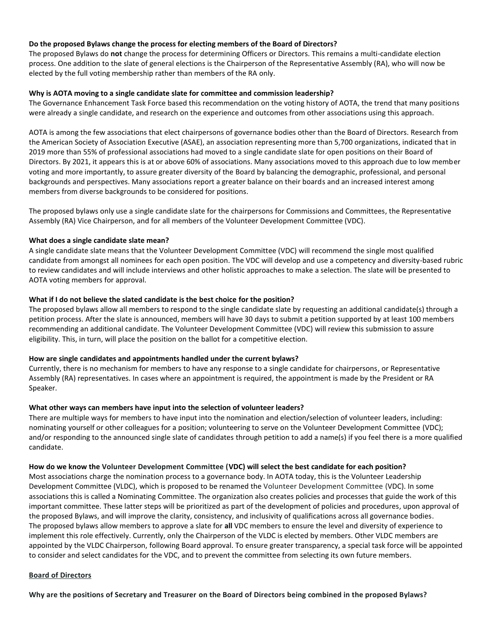#### **Do the proposed Bylaws change the process for electing members of the Board of Directors?**

The proposed Bylaws do **not** change the process for determining Officers or Directors. This remains a multi-candidate election process. One addition to the slate of general elections is the Chairperson of the Representative Assembly (RA), who will now be elected by the full voting membership rather than members of the RA only.

#### **Why is AOTA moving to a single candidate slate for committee and commission leadership?**

The Governance Enhancement Task Force based this recommendation on the voting history of AOTA, the trend that many positions were already a single candidate, and research on the experience and outcomes from other associations using this approach.

AOTA is among the few associations that elect chairpersons of governance bodies other than the Board of Directors. Research from the American Society of Association Executive (ASAE), an association representing more than 5,700 organizations, indicated that in 2019 more than 55% of professional associations had moved to a single candidate slate for open positions on their Board of Directors. By 2021, it appears this is at or above 60% of associations. Many associations moved to this approach due to low member voting and more importantly, to assure greater diversity of the Board by balancing the demographic, professional, and personal backgrounds and perspectives. Many associations report a greater balance on their boards and an increased interest among members from diverse backgrounds to be considered for positions.

The proposed bylaws only use a single candidate slate for the chairpersons for Commissions and Committees, the Representative Assembly (RA) Vice Chairperson, and for all members of the Volunteer Development Committee (VDC).

#### **What does a single candidate slate mean?**

A single candidate slate means that the Volunteer Development Committee (VDC) will recommend the single most qualified candidate from amongst all nominees for each open position. The VDC will develop and use a competency and diversity-based rubric to review candidates and will include interviews and other holistic approaches to make a selection. The slate will be presented to AOTA voting members for approval.

#### **What if I do not believe the slated candidate is the best choice for the position?**

The proposed bylaws allow all members to respond to the single candidate slate by requesting an additional candidate(s) through a petition process. After the slate is announced, members will have 30 days to submit a petition supported by at least 100 members recommending an additional candidate. The Volunteer Development Committee (VDC) will review this submission to assure eligibility. This, in turn, will place the position on the ballot for a competitive election.

### **How are single candidates and appointments handled under the current bylaws?**

Currently, there is no mechanism for members to have any response to a single candidate for chairpersons, or Representative Assembly (RA) representatives. In cases where an appointment is required, the appointment is made by the President or RA Speaker.

### **What other ways can members have input into the selection of volunteer leaders?**

There are multiple ways for members to have input into the nomination and election/selection of volunteer leaders, including: nominating yourself or other colleagues for a position; volunteering to serve on the Volunteer Development Committee (VDC); and/or responding to the announced single slate of candidates through petition to add a name(s) if you feel there is a more qualified candidate.

#### **How do we know the Volunteer Development Committee (VDC) will select the best candidate for each position?**

Most associations charge the nomination process to a governance body. In AOTA today, this is the Volunteer Leadership Development Committee (VLDC), which is proposed to be renamed the Volunteer Development Committee (VDC). In some associations this is called a Nominating Committee. The organization also creates policies and processes that guide the work of this important committee. These latter steps will be prioritized as part of the development of policies and procedures, upon approval of the proposed Bylaws, and will improve the clarity, consistency, and inclusivity of qualifications across all governance bodies. The proposed bylaws allow members to approve a slate for **all** VDC members to ensure the level and diversity of experience to implement this role effectively. Currently, only the Chairperson of the VLDC is elected by members. Other VLDC members are appointed by the VLDC Chairperson, following Board approval. To ensure greater transparency, a special task force will be appointed to consider and select candidates for the VDC, and to prevent the committee from selecting its own future members.

#### **Board of Directors**

**Why are the positions of Secretary and Treasurer on the Board of Directors being combined in the proposed Bylaws?**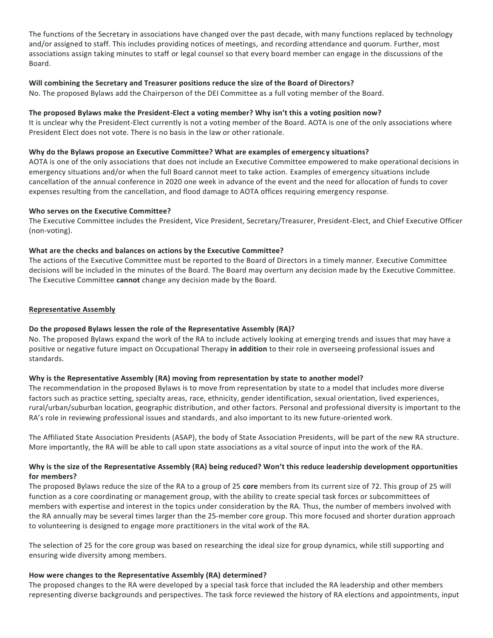The functions of the Secretary in associations have changed over the past decade, with many functions replaced by technology and/or assigned to staff. This includes providing notices of meetings, and recording attendance and quorum. Further, most associations assign taking minutes to staff or legal counsel so that every board member can engage in the discussions of the Board.

### **Will combining the Secretary and Treasurer positions reduce the size of the Board of Directors?**

No. The proposed Bylaws add the Chairperson of the DEI Committee as a full voting member of the Board.

## **The proposed Bylaws make the President-Elect a voting member? Why isn't this a voting position now?**

It is unclear why the President-Elect currently is not a voting member of the Board. AOTA is one of the only associations where President Elect does not vote. There is no basis in the law or other rationale.

### **Why do the Bylaws propose an Executive Committee? What are examples of emergency situations?**

AOTA is one of the only associations that does not include an Executive Committee empowered to make operational decisions in emergency situations and/or when the full Board cannot meet to take action. Examples of emergency situations include cancellation of the annual conference in 2020 one week in advance of the event and the need for allocation of funds to cover expenses resulting from the cancellation, and flood damage to AOTA offices requiring emergency response.

## **Who serves on the Executive Committee?**

The Executive Committee includes the President, Vice President, Secretary/Treasurer, President-Elect, and Chief Executive Officer (non-voting).

## **What are the checks and balances on actions by the Executive Committee?**

The actions of the Executive Committee must be reported to the Board of Directors in a timely manner. Executive Committee decisions will be included in the minutes of the Board. The Board may overturn any decision made by the Executive Committee. The Executive Committee **cannot** change any decision made by the Board.

## **Representative Assembly**

## **Do the proposed Bylaws lessen the role of the Representative Assembly (RA)?**

No. The proposed Bylaws expand the work of the RA to include actively looking at emerging trends and issues that may have a positive or negative future impact on Occupational Therapy **in addition** to their role in overseeing professional issues and standards.

## **Why is the Representative Assembly (RA) moving from representation by state to another model?**

The recommendation in the proposed Bylaws is to move from representation by state to a model that includes more diverse factors such as practice setting, specialty areas, race, ethnicity, gender identification, sexual orientation, lived experiences, rural/urban/suburban location, geographic distribution, and other factors. Personal and professional diversity is important to the RA's role in reviewing professional issues and standards, and also important to its new future-oriented work.

The Affiliated State Association Presidents (ASAP), the body of State Association Presidents, will be part of the new RA structure. More importantly, the RA will be able to call upon state associations as a vital source of input into the work of the RA.

## **Why is the size of the Representative Assembly (RA) being reduced? Won't this reduce leadership development opportunities for members?**

The proposed Bylaws reduce the size of the RA to a group of 25 **core** members from its current size of 72. This group of 25 will function as a core coordinating or management group, with the ability to create special task forces or subcommittees of members with expertise and interest in the topics under consideration by the RA. Thus, the number of members involved with the RA annually may be several times larger than the 25-member core group. This more focused and shorter duration approach to volunteering is designed to engage more practitioners in the vital work of the RA.

The selection of 25 for the core group was based on researching the ideal size for group dynamics, while still supporting and ensuring wide diversity among members.

### **How were changes to the Representative Assembly (RA) determined?**

The proposed changes to the RA were developed by a special task force that included the RA leadership and other members representing diverse backgrounds and perspectives. The task force reviewed the history of RA elections and appointments, input